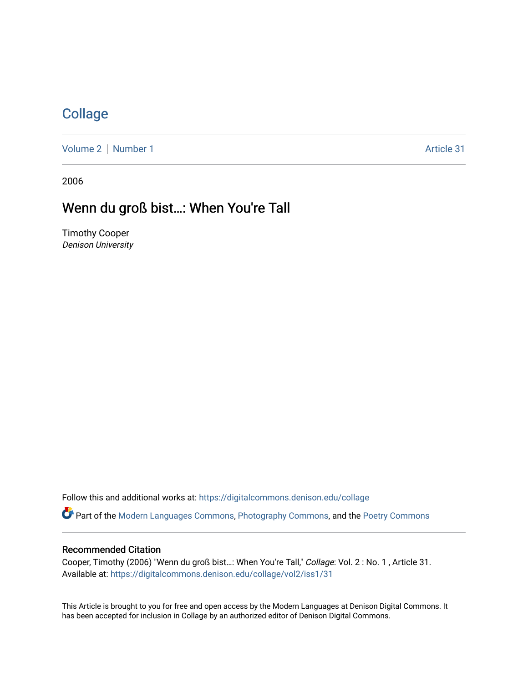## **[Collage](https://digitalcommons.denison.edu/collage)**

[Volume 2](https://digitalcommons.denison.edu/collage/vol2) | [Number 1](https://digitalcommons.denison.edu/collage/vol2/iss1) Article 31

2006

# Wenn du groß bist...: When You're Tall

Timothy Cooper Denison University

Follow this and additional works at: [https://digitalcommons.denison.edu/collage](https://digitalcommons.denison.edu/collage?utm_source=digitalcommons.denison.edu%2Fcollage%2Fvol2%2Fiss1%2F31&utm_medium=PDF&utm_campaign=PDFCoverPages)  Part of the [Modern Languages Commons,](http://network.bepress.com/hgg/discipline/1130?utm_source=digitalcommons.denison.edu%2Fcollage%2Fvol2%2Fiss1%2F31&utm_medium=PDF&utm_campaign=PDFCoverPages) [Photography Commons](http://network.bepress.com/hgg/discipline/1142?utm_source=digitalcommons.denison.edu%2Fcollage%2Fvol2%2Fiss1%2F31&utm_medium=PDF&utm_campaign=PDFCoverPages), and the [Poetry Commons](http://network.bepress.com/hgg/discipline/1153?utm_source=digitalcommons.denison.edu%2Fcollage%2Fvol2%2Fiss1%2F31&utm_medium=PDF&utm_campaign=PDFCoverPages)

#### Recommended Citation

Cooper, Timothy (2006) "Wenn du groß bist…: When You're Tall," Collage: Vol. 2 : No. 1 , Article 31. Available at: [https://digitalcommons.denison.edu/collage/vol2/iss1/31](https://digitalcommons.denison.edu/collage/vol2/iss1/31?utm_source=digitalcommons.denison.edu%2Fcollage%2Fvol2%2Fiss1%2F31&utm_medium=PDF&utm_campaign=PDFCoverPages)

This Article is brought to you for free and open access by the Modern Languages at Denison Digital Commons. It has been accepted for inclusion in Collage by an authorized editor of Denison Digital Commons.